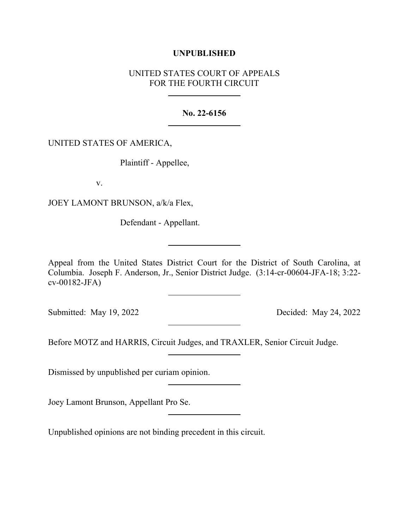## **UNPUBLISHED**

# UNITED STATES COURT OF APPEALS FOR THE FOURTH CIRCUIT

#### **No. 22-6156**

### UNITED STATES OF AMERICA,

Plaintiff - Appellee,

v.

JOEY LAMONT BRUNSON, a/k/a Flex,

Defendant - Appellant.

Appeal from the United States District Court for the District of South Carolina, at Columbia. Joseph F. Anderson, Jr., Senior District Judge. (3:14-cr-00604-JFA-18; 3:22 cv-00182-JFA)

Submitted: May 19, 2022 Decided: May 24, 2022

Before MOTZ and HARRIS, Circuit Judges, and TRAXLER, Senior Circuit Judge.

Dismissed by unpublished per curiam opinion.

Joey Lamont Brunson, Appellant Pro Se.

Unpublished opinions are not binding precedent in this circuit.